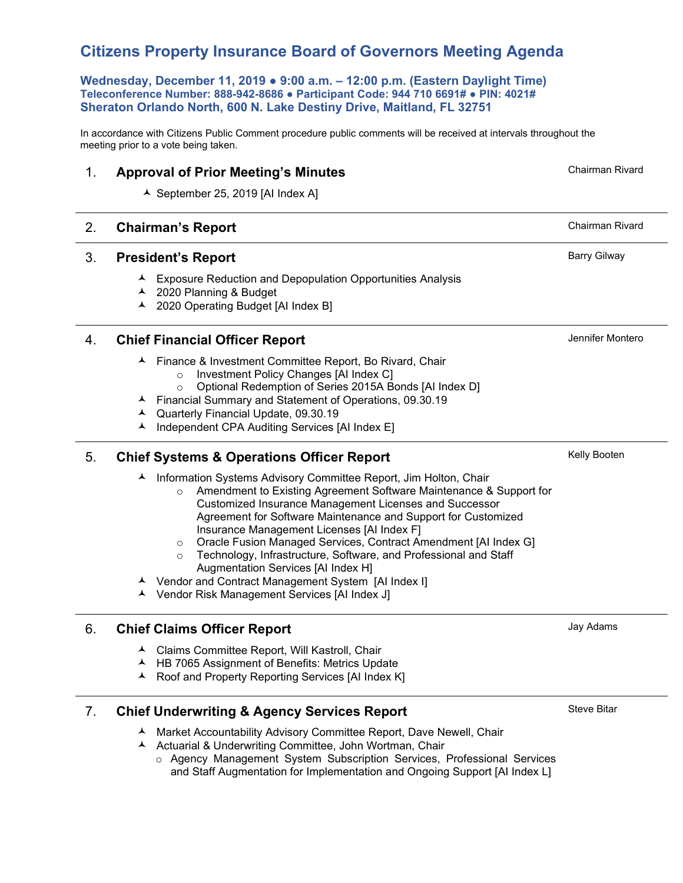## **Citizens Property Insurance Board of Governors Meeting Agenda**

**Wednesday, December 11, 2019 ● 9:00 a.m. – 12:00 p.m. (Eastern Daylight Time) Teleconference Number: 888-942-8686 ● Participant Code: 944 710 6691# ● PIN: 4021# Sheraton Orlando North, 600 N. Lake Destiny Drive, Maitland, FL 32751**

In accordance with Citizens Public Comment procedure public comments will be received at intervals throughout the meeting prior to a vote being taken.

## 1. **Approval of Prior Meeting's Minutes**

 $\overline{\phantom{0}}$  September 25, 2019 [AI Index A]

## 2. Chairman's Report **Chairman's Report Chairman Rivard**

## 3. **President's Report**

- Exposure Reduction and Depopulation Opportunities Analysis
- ▲ 2020 Planning & Budget
- ▲ 2020 Operating Budget [AI Index B]

## 4. **Chief Financial Officer Report**

- Finance & Investment Committee Report, Bo Rivard, Chair
	- o Investment Policy Changes [AI Index C]<br>
	o Optional Redemption of Series 2015A Be
	- Optional Redemption of Series 2015A Bonds [AI Index D]
- Financial Summary and Statement of Operations, 09.30.19
- Quarterly Financial Update, 09.30.19
- A Independent CPA Auditing Services [AI Index E]

## 5. **Chief Systems & Operations Officer Report**

- A Information Systems Advisory Committee Report, Jim Holton, Chair
	- o Amendment to Existing Agreement Software Maintenance & Support for Customized Insurance Management Licenses and Successor Agreement for Software Maintenance and Support for Customized Insurance Management Licenses [AI Index F]
	- o Oracle Fusion Managed Services, Contract Amendment [AI Index G]
	- o Technology, Infrastructure, Software, and Professional and Staff Augmentation Services [AI Index H]
- Vendor and Contract Management System [AI Index I]
- Vendor Risk Management Services [AI Index J]

### 6. **Chief Claims Officer Report**

- Claims Committee Report, Will Kastroll, Chair
- A HB 7065 Assignment of Benefits: Metrics Update
- $\lambda$  Roof and Property Reporting Services [AI Index K]

## 7. **Chief Underwriting & Agency Services Report**

- ▲ Market Accountability Advisory Committee Report, Dave Newell, Chair
- ▲ Actuarial & Underwriting Committee, John Wortman, Chair
	- o Agency Management System Subscription Services, Professional Services and Staff Augmentation for Implementation and Ongoing Support [AI Index L]

#### Kelly Booten

Jay Adams

Steve Bitar

Chairman Rivard

Barry Gilway

Jennifer Montero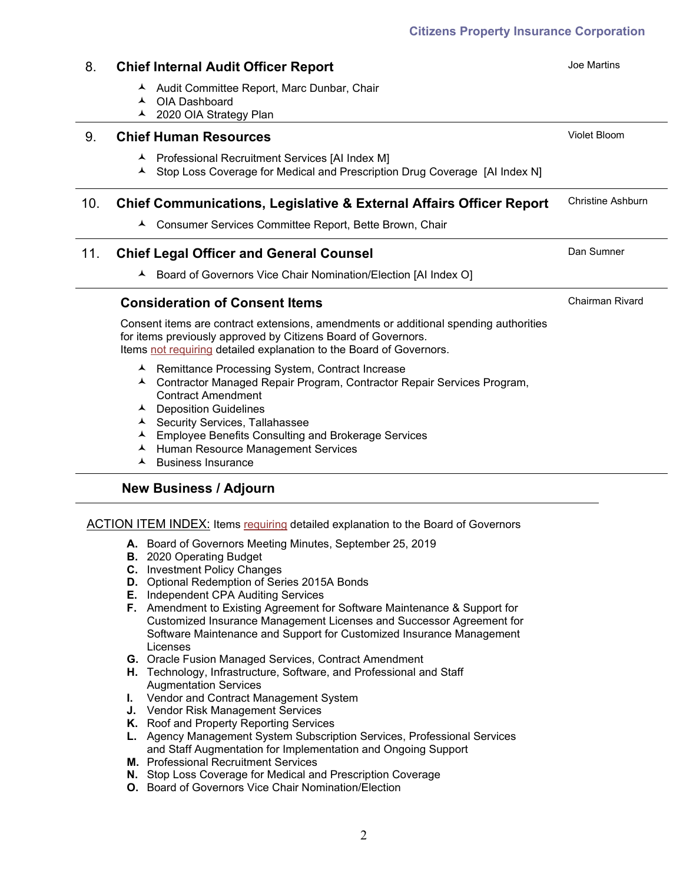## **Citizens Property Insurance Corporation**

## 8. **Chief Internal Audit Officer Report** ▲ Audit Committee Report, Marc Dunbar, Chair OIA Dashboard ▲ 2020 OIA Strategy Plan Joe Martins 9. **Chief Human Resources** A Professional Recruitment Services [AI Index M] A Stop Loss Coverage for Medical and Prescription Drug Coverage [AI Index N] Violet Bloom 10. **Chief Communications, Legislative & External Affairs Officer Report** Consumer Services Committee Report, Bette Brown, Chair Christine Ashburn 11. **Chief Legal Officer and General Counsel** ▲ Board of Governors Vice Chair Nomination/Election [AI Index O] Dan Sumner **Consideration of Consent Items** Consent items are contract extensions, amendments or additional spending authorities for items previously approved by Citizens Board of Governors. Items not requiring detailed explanation to the Board of Governors. Remittance Processing System, Contract Increase Contractor Managed Repair Program, Contractor Repair Services Program, Contract Amendment ▲ Deposition Guidelines ▲ Security Services, Tallahassee Employee Benefits Consulting and Brokerage Services Chairman Rivard

- ▲ Human Resource Management Services
- $\blacktriangle$  Business Insurance

## **New Business / Adjourn**

ACTION ITEM INDEX: Items requiring detailed explanation to the Board of Governors

- **A.** Board of Governors Meeting Minutes, September 25, 2019
- **B.** 2020 Operating Budget
- **C.** Investment Policy Changes
- **D.** Optional Redemption of Series 2015A Bonds
- **E.** Independent CPA Auditing Services
- **F.** Amendment to Existing Agreement for Software Maintenance & Support for Customized Insurance Management Licenses and Successor Agreement for Software Maintenance and Support for Customized Insurance Management Licenses
- **G.** Oracle Fusion Managed Services, Contract Amendment
- **H.** Technology, Infrastructure, Software, and Professional and Staff Augmentation Services
- **I.** Vendor and Contract Management System
- **J.** Vendor Risk Management Services
- **K.** Roof and Property Reporting Services
- **L.** Agency Management System Subscription Services, Professional Services and Staff Augmentation for Implementation and Ongoing Support
- **M.** Professional Recruitment Services
- **N.** Stop Loss Coverage for Medical and Prescription Coverage
- **O.** Board of Governors Vice Chair Nomination/Election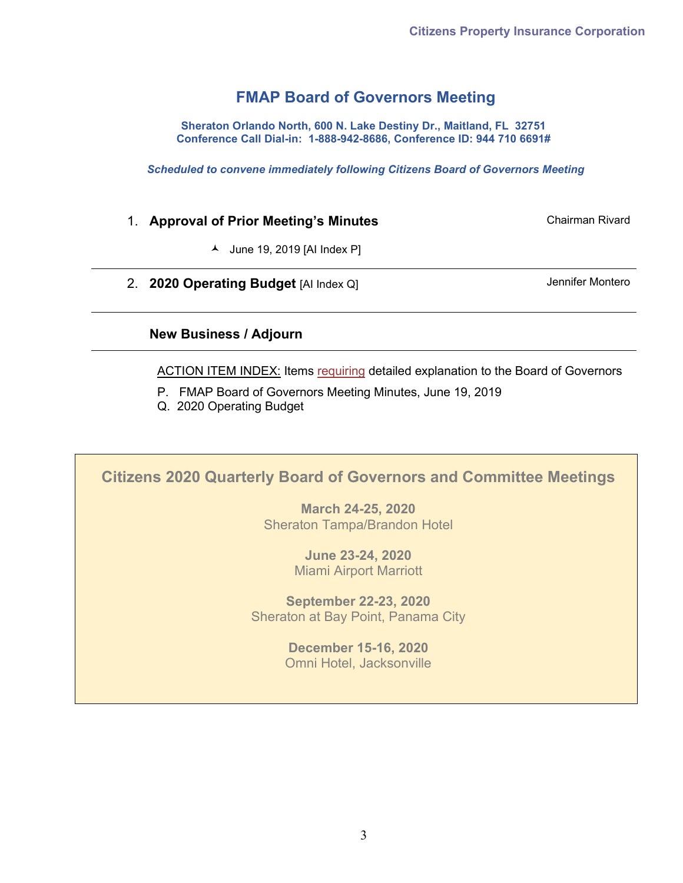## **FMAP Board of Governors Meeting**

**Sheraton Orlando North, 600 N. Lake Destiny Dr., Maitland, FL 32751 Conference Call Dial-in: 1-888-942-8686, Conference ID: 944 710 6691#**

*Scheduled to convene immediately following Citizens Board of Governors Meeting*

- 1. **Approval of Prior Meeting's Minutes**
	- $\blacktriangle$  June 19, 2019 [AI Index P]
- 2. **2020 Operating Budget** [AI Index Q] Jennifer Montero

Chairman Rivard

## **New Business / Adjourn**

ACTION ITEM INDEX: Items requiring detailed explanation to the Board of Governors

- P. FMAP Board of Governors Meeting Minutes, June 19, 2019
- Q. 2020 Operating Budget

**Citizens 2020 Quarterly Board of Governors and Committee Meetings**

**March 24-25, 2020** Sheraton Tampa/Brandon Hotel

> **June 23-24, 2020** Miami Airport Marriott

**September 22-23, 2020** Sheraton at Bay Point, Panama City

> **December 15-16, 2020** Omni Hotel, Jacksonville